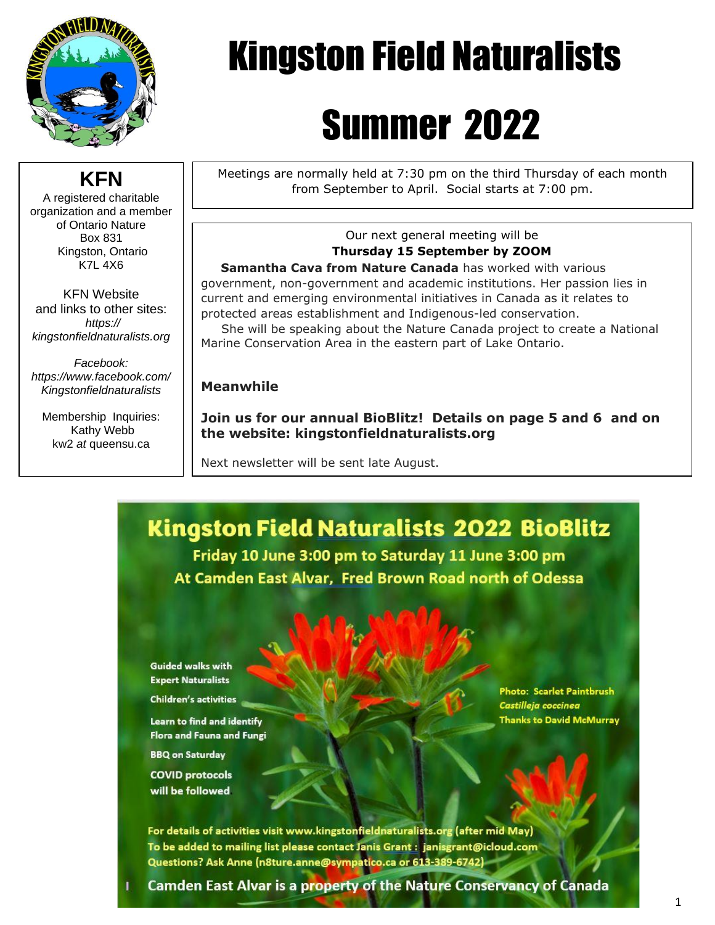

**KFN** A registered charitable organization and a member of Ontario Nature Box 831 Kingston, Ontario K7L 4X6

KFN Website and links to other sites: *https:// kingstonfieldnaturalists.org*

*Facebook: https://www.facebook.com/ Kingstonfieldnaturalists*

Membership Inquiries: Kathy Webb kw2 *at* queensu.ca

# Kingston Field Naturalists

# Summer 2022

Meetings are normally held at 7:30 pm on the third Thursday of each month from September to April. Social starts at 7:00 pm.

#### Our next general meeting will be **Thursday 15 September by ZOOM**

 **Samantha Cava from Nature Canada** has worked with various government, non-government and academic institutions. Her passion lies in current and emerging environmental initiatives in Canada as it relates to protected areas establishment and Indigenous-led conservation.

 She will be speaking about the Nature Canada project to create a National Marine Conservation Area in the eastern part of Lake Ontario.

#### **Meanwhile**

**Join us for our annual BioBlitz! Details on page 5 and 6 and on the website: kingstonfieldnaturalists.org**

Next newsletter will be sent late August.



**Guided walks with Expert Naturalists** 

**Children's activities** 

Learn to find and identify **Flora and Fauna and Fungi** 

**BBQ on Saturday** 

**COVID protocols** will be followed

**Photo: Scarlet Paintbrush** Castilleja coccinea Thanks to David McMurray

For details of activities visit www.kingstonfieldnaturalists.org (after mid May) To be added to mailing list please contact Janis Grant : janisgrant@icloud.com Questions? Ask Anne (n8ture.anne@sympatico.ca or 613-389-6742)

**Camden East Alvar is a property of the Nature Conservancy of Canada**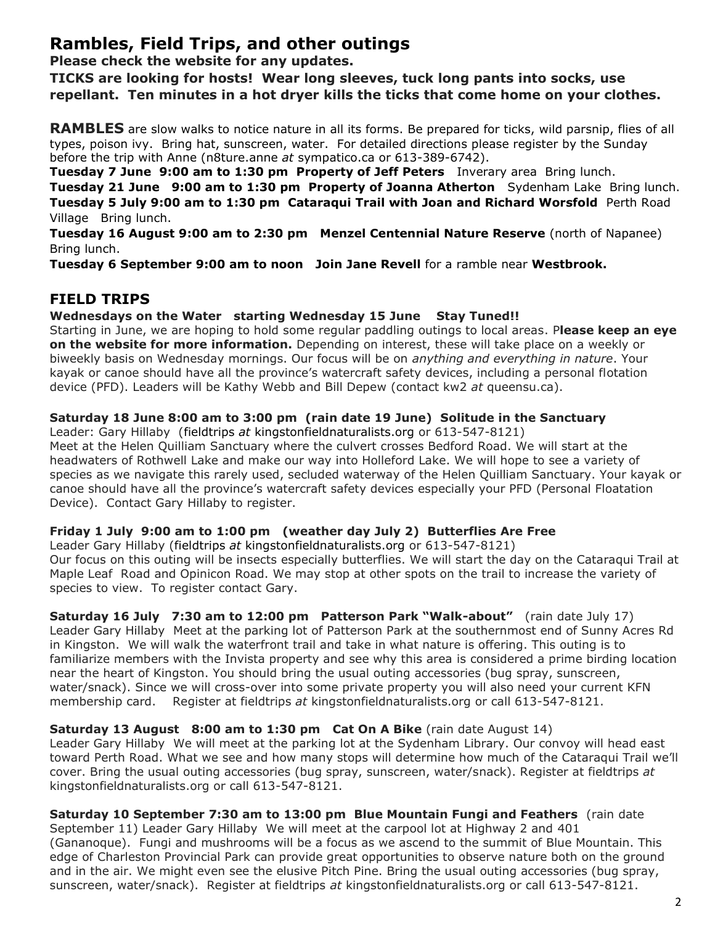### **Rambles, Field Trips, and other outings**

**Please check the website for any updates.**

**TICKS are looking for hosts! Wear long sleeves, tuck long pants into socks, use repellant. Ten minutes in a hot dryer kills the ticks that come home on your clothes.**

**RAMBLES** are slow walks to notice nature in all its forms. Be prepared for ticks, wild parsnip, flies of all types, poison ivy. Bring hat, sunscreen, water. For detailed directions please register by the Sunday before the trip with Anne (n8ture.anne *at* sympatico.ca or 613-389-6742).

**Tuesday 7 June 9:00 am to 1:30 pm Property of Jeff Peters** Inverary area Bring lunch.

**Tuesday 21 June 9:00 am to 1:30 pm Property of Joanna Atherton** Sydenham Lake Bring lunch. **Tuesday 5 July 9:00 am to 1:30 pm Cataraqui Trail with Joan and Richard Worsfold** Perth Road Village Bring lunch.

**Tuesday 16 August 9:00 am to 2:30 pm Menzel Centennial Nature Reserve** (north of Napanee) Bring lunch.

**Tuesday 6 September 9:00 am to noon Join Jane Revell** for a ramble near **Westbrook.**

### **FIELD TRIPS**

#### **Wednesdays on the Water starting Wednesday 15 June Stay Tuned!!**

Starting in June, we are hoping to hold some regular paddling outings to local areas. P**lease keep an eye on the website for more information.** Depending on interest, these will take place on a weekly or biweekly basis on Wednesday mornings. Our focus will be on *anything and everything in nature*. Your kayak or canoe should have all the province's watercraft safety devices, including a personal flotation device (PFD). Leaders will be Kathy Webb and Bill Depew (contact kw2 *at* queensu.ca).

#### **Saturday 18 June 8:00 am to 3:00 pm (rain date 19 June) Solitude in the Sanctuary**

Leader: Gary Hillaby (fieldtrips *at* kingstonfieldnaturalists.org or 613-547-8121) Meet at the Helen Quilliam Sanctuary where the culvert crosses Bedford Road. We will start at the

headwaters of Rothwell Lake and make our way into Holleford Lake. We will hope to see a variety of species as we navigate this rarely used, secluded waterway of the Helen Quilliam Sanctuary. Your kayak or canoe should have all the province's watercraft safety devices especially your PFD (Personal Floatation Device). Contact Gary Hillaby to register.

#### **Friday 1 July 9:00 am to 1:00 pm (weather day July 2) Butterflies Are Free**

Leader Gary Hillaby (fieldtrips *at* kingstonfieldnaturalists.org or 613-547-8121) Our focus on this outing will be insects especially butterflies. We will start the day on the Cataraqui Trail at Maple Leaf Road and Opinicon Road. We may stop at other spots on the trail to increase the variety of species to view. To register contact Gary.

**Saturday 16 July 7:30 am to 12:00 pm Patterson Park "Walk-about"** (rain date July 17) Leader Gary Hillaby Meet at the parking lot of Patterson Park at the southernmost end of Sunny Acres Rd in Kingston. We will walk the waterfront trail and take in what nature is offering. This outing is to familiarize members with the Invista property and see why this area is considered a prime birding location near the heart of Kingston. You should bring the usual outing accessories (bug spray, sunscreen, water/snack). Since we will cross-over into some private property you will also need your current KFN membership card. Register at fieldtrips *at* kingstonfieldnaturalists.org or call 613-547-8121.

#### **Saturday 13 August 8:00 am to 1:30 pm Cat On A Bike** (rain date August 14)

Leader Gary Hillaby We will meet at the parking lot at the Sydenham Library. Our convoy will head east toward Perth Road. What we see and how many stops will determine how much of the Cataraqui Trail we'll cover. Bring the usual outing accessories (bug spray, sunscreen, water/snack). Register at fieldtrips *at* kingstonfieldnaturalists.org or call 613-547-8121.

**Saturday 10 September 7:30 am to 13:00 pm Blue Mountain Fungi and Feathers** (rain date September 11) Leader Gary Hillaby We will meet at the carpool lot at Highway 2 and 401 (Gananoque). Fungi and mushrooms will be a focus as we ascend to the summit of Blue Mountain. This edge of Charleston Provincial Park can provide great opportunities to observe nature both on the ground and in the air. We might even see the elusive Pitch Pine. Bring the usual outing accessories (bug spray, sunscreen, water/snack). Register at fieldtrips *at* kingstonfieldnaturalists.org or call 613-547-8121.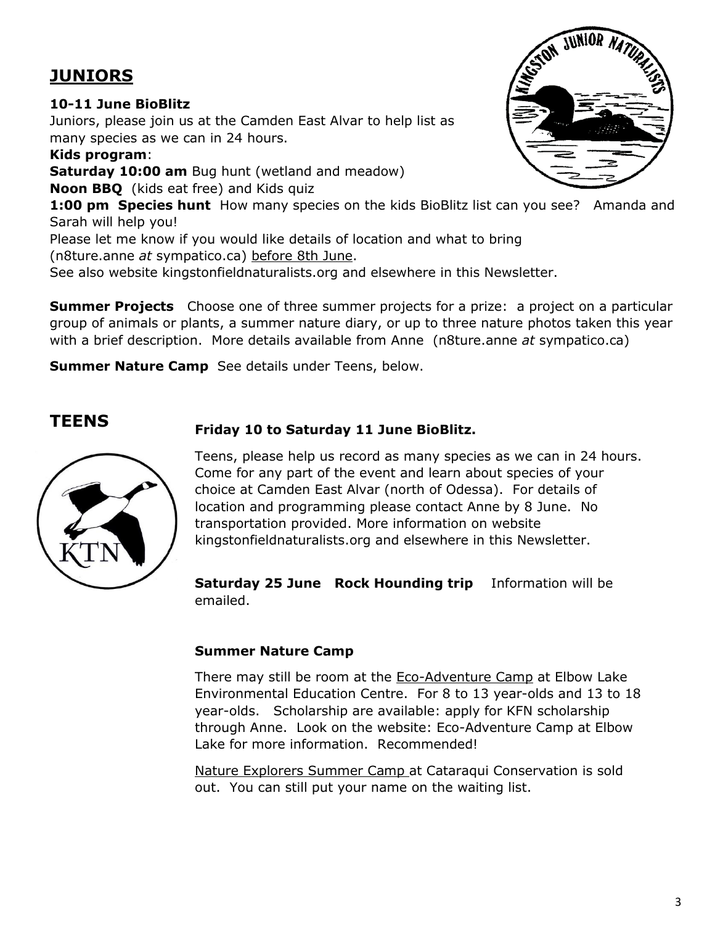## **JUNIORS**

#### **10-11 June BioBlitz**

Juniors, please join us at the Camden East Alvar to help list as many species as we can in 24 hours.

**Kids program**:

**Saturday 10:00 am** Bug hunt (wetland and meadow)

**Noon BBQ** (kids eat free) and Kids quiz

**1:00 pm Species hunt** How many species on the kids BioBlitz list can you see? Amanda and Sarah will help you!

Please let me know if you would like details of location and what to bring (n8ture.anne *at* sympatico.ca) before 8th June.

See also website kingstonfieldnaturalists.org and elsewhere in this Newsletter.

**Summer Projects** Choose one of three summer projects for a prize: a project on a particular group of animals or plants, a summer nature diary, or up to three nature photos taken this year with a brief description. More details available from Anne (n8ture.anne *at* sympatico.ca)

**Summer Nature Camp** See details under Teens, below.



**TEENS Friday 10 to Saturday 11 June BioBlitz.** 

Teens, please help us record as many species as we can in 24 hours. Come for any part of the event and learn about species of your choice at Camden East Alvar (north of Odessa). For details of location and programming please contact Anne by 8 June. No transportation provided. More information on website kingstonfieldnaturalists.org and elsewhere in this Newsletter.

**Saturday 25 June Rock Hounding trip** Information will be emailed.

#### **Summer Nature Camp**

There may still be room at the Eco-Adventure Camp at Elbow Lake Environmental Education Centre. For 8 to 13 year-olds and 13 to 18 year-olds. Scholarship are available: apply for KFN scholarship through Anne. Look on the website: Eco-Adventure Camp at Elbow Lake for more information. Recommended!

Nature Explorers Summer Camp at Cataraqui Conservation is sold out. You can still put your name on the waiting list.

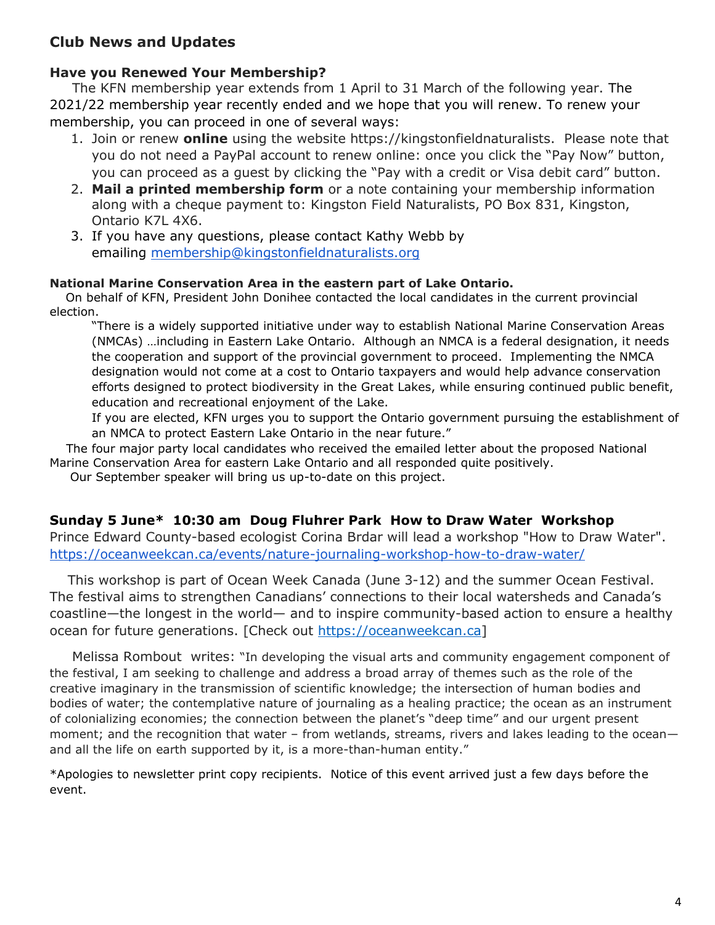#### **Club News and Updates**

#### **Have you Renewed Your Membership?**

 The KFN membership year extends from 1 April to 31 March of the following year. The 2021/22 membership year recently ended and we hope that you will renew. To renew your membership, you can proceed in one of several ways:

- 1. Join or renew **online** using the website https://kingstonfieldnaturalists. Please note that you do not need a PayPal account to renew online: once you click the "Pay Now" button, you can proceed as a guest by clicking the "Pay with a credit or Visa debit card" button.
- 2. **Mail a printed membership form** or a note containing your membership information along with a cheque payment to: Kingston Field Naturalists, PO Box 831, Kingston, Ontario K7L 4X6.
- 3. If you have any questions, please contact Kathy Webb by emailing [membership@kingstonfieldnaturalists.org](mailto:membership@kingstonfieldnaturalists.org)

#### **National Marine Conservation Area in the eastern part of Lake Ontario.**

On behalf of KFN, President John Donihee contacted the local candidates in the current provincial election.

"There is a widely supported initiative under way to establish National Marine Conservation Areas (NMCAs) …including in Eastern Lake Ontario. Although an NMCA is a federal designation, it needs the cooperation and support of the provincial government to proceed. Implementing the NMCA designation would not come at a cost to Ontario taxpayers and would help advance conservation efforts designed to protect biodiversity in the Great Lakes, while ensuring continued public benefit, education and recreational enjoyment of the Lake.

If you are elected, KFN urges you to support the Ontario government pursuing the establishment of an NMCA to protect Eastern Lake Ontario in the near future."

 The four major party local candidates who received the emailed letter about the proposed National Marine Conservation Area for eastern Lake Ontario and all responded quite positively.

Our September speaker will bring us up-to-date on this project.

#### **Sunday 5 June\* 10:30 am Doug Fluhrer Park How to Draw Water Workshop**

Prince Edward County-based ecologist Corina Brdar will lead a workshop "How to Draw Water". [https://oceanweekcan.ca/events/nature-journaling-workshop-how-to-draw-water/](https://can01.safelinks.protection.outlook.com/?url=https%3A%2F%2Foceanweekcan.ca%2Fevents%2Fnature-journaling-workshop-how-to-draw-water%2F&data=05%7C01%7Ckw2%40queensu.ca%7C07b06475e5e44a58b40b08da43196f2f%7Cd61ecb3b38b142d582c4efb2838b925c%7C1%7C0%7C637896073760886507%7CUnknown%7CTWFpbGZsb3d8eyJWIjoiMC4wLjAwMDAiLCJQIjoiV2luMzIiLCJBTiI6Ik1haWwiLCJXVCI6Mn0%3D%7C3000%7C%7C%7C&sdata=oDAM35aMrQi8S67qd6DmAKKC3n7xRtLqWaUJPX8h0ZU%3D&reserved=0)

 This workshop is part of Ocean Week Canada (June 3-12) and the summer Ocean Festival. The festival aims to strengthen Canadians' connections to their local watersheds and Canada's coastline—the longest in the world— and to inspire community-based action to ensure a healthy ocean for future generations. [Check out [https://oceanweekcan.ca\]](https://can01.safelinks.protection.outlook.com/?url=https%3A%2F%2Foceanweekcan.ca%2F&data=05%7C01%7Ckw2%40queensu.ca%7C07b06475e5e44a58b40b08da43196f2f%7Cd61ecb3b38b142d582c4efb2838b925c%7C1%7C0%7C637896073760886507%7CUnknown%7CTWFpbGZsb3d8eyJWIjoiMC4wLjAwMDAiLCJQIjoiV2luMzIiLCJBTiI6Ik1haWwiLCJXVCI6Mn0%3D%7C3000%7C%7C%7C&sdata=tPoPa8dPdqIZXFaazUTcr2h7UHM%2BvDqkFo5inqQkAk0%3D&reserved=0)

 Melissa Rombout writes: "In developing the visual arts and community engagement component of the festival, I am seeking to challenge and address a broad array of themes such as the role of the creative imaginary in the transmission of scientific knowledge; the intersection of human bodies and bodies of water; the contemplative nature of journaling as a healing practice; the ocean as an instrument of colonializing economies; the connection between the planet's "deep time" and our urgent present moment; and the recognition that water – from wetlands, streams, rivers and lakes leading to the ocean and all the life on earth supported by it, is a more-than-human entity."

\*Apologies to newsletter print copy recipients. Notice of this event arrived just a few days before the event.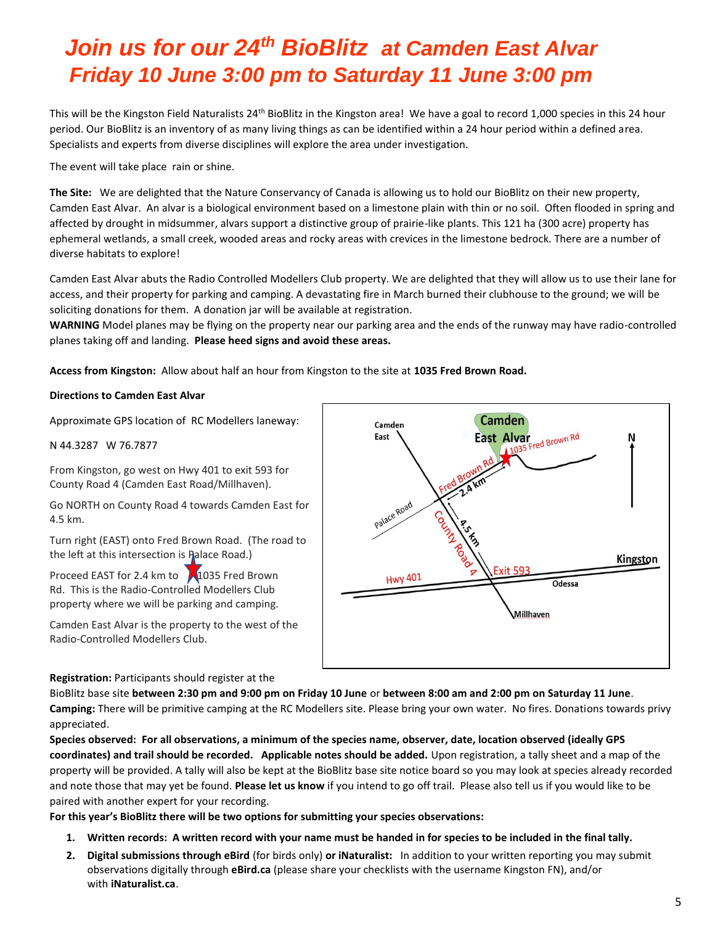# *Join us for our 24th BioBlitz at Camden East Alvar Friday 10 June 3:00 pm to Saturday 11 June 3:00 pm*

This will be the Kingston Field Naturalists 24<sup>th</sup> BioBlitz in the Kingston area! We have a goal to record 1,000 species in this 24 hour period. Our BioBlitz is an inventory of as many living things as can be identified within a 24 hour period within a defined area. Specialists and experts from diverse disciplines will explore the area under investigation.

The event will take place rain or shine.

**The Site:** We are delighted that the Nature Conservancy of Canada is allowing us to hold our BioBlitz on their new property, Camden East Alvar. An alvar is a biological environment based on a limestone plain with thin or no soil. Often flooded in spring and affected by drought in midsummer, alvars support a distinctive group of prairie-like plants. This 121 ha (300 acre) property has ephemeral wetlands, a small creek, wooded areas and rocky areas with crevices in the limestone bedrock. There are a number of diverse habitats to explore!

Camden East Alvar abuts the Radio Controlled Modellers Club property. We are delighted that they will allow us to use their lane for access, and their property for parking and camping. A devastating fire in March burned their clubhouse to the ground; we will be soliciting donations for them. A donation jar will be available at registration.

**WARNING** Model planes may be flying on the property near our parking area and the ends of the runway may have radio-controlled planes taking off and landing. **Please heed signs and avoid these areas.**

**Access from Kingston:** Allow about half an hour from Kingston to the site at **1035 Fred Brown Road.**

#### **Directions to Camden East Alvar**

Approximate GPS location of RC Modellers laneway:

N 44.3287 W 76.7877

From Kingston, go west on Hwy 401 to exit 593 for County Road 4 (Camden East Road/Millhaven).

Go NORTH on County Road 4 towards Camden East for 4.5 km.

Turn right (EAST) onto Fred Brown Road. (The road to the left at this intersection is Palace Road.)

Proceed EAST for 2.4 km to 1035 Fred Brown Rd. This is the Radio-Controlled Modellers Club property where we will be parking and camping.

Camden East Alvar is the property to the west of the Radio-Controlled Modellers Club.



**Registration:** Participants should register at the

BioBlitz base site **between 2:30 pm and 9:00 pm on Friday 10 June** or **between 8:00 am and 2:00 pm on Saturday 11 June**. **Camping:** There will be primitive camping at the RC Modellers site. Please bring your own water. No fires. Donations towards privy appreciated.

**Species observed: For all observations, a minimum of the species name, observer, date, location observed (ideally GPS coordinates) and trail should be recorded. Applicable notes should be added.** Upon registration, a tally sheet and a map of the property will be provided. A tally will also be kept at the BioBlitz base site notice board so you may look at species already recorded and note those that may yet be found. **Please let us know** if you intend to go off trail. Please also tell us if you would like to be paired with another expert for your recording.

**For this year's BioBlitz there will be two options for submitting your species observations:**

- **1. Written records: A written record with your name must be handed in for species to be included in the final tally.**
- **2. Digital submissions through eBird** (for birds only) **or iNaturalist:** In addition to your written reporting you may submit observations digitally through **eBird.ca** (please share your checklists with the username Kingston FN), and/or with **iNaturalist.ca**.